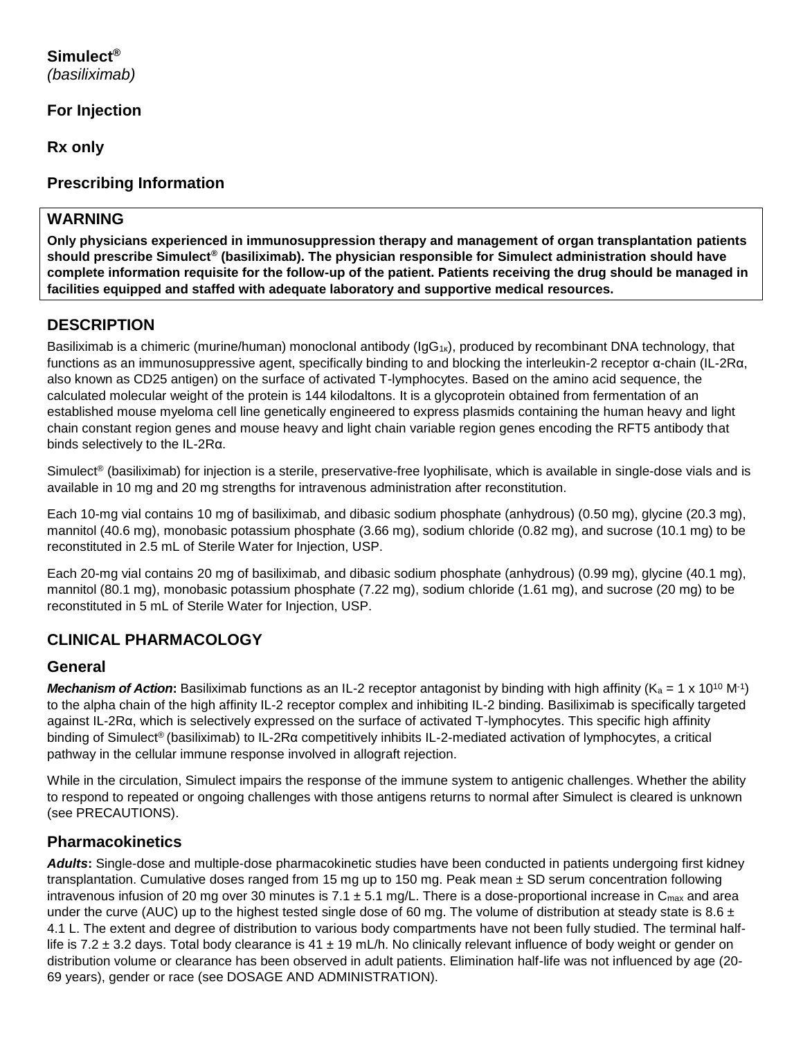#### **Simulect®** *(basiliximab)*

## **For Injection**

**Rx only**

## **Prescribing Information**

### **WARNING**

**Only physicians experienced in immunosuppression therapy and management of organ transplantation patients should prescribe Simulect® (basiliximab). The physician responsible for Simulect administration should have complete information requisite for the follow-up of the patient. Patients receiving the drug should be managed in facilities equipped and staffed with adequate laboratory and supportive medical resources.**

## **DESCRIPTION**

Basiliximab is a chimeric (murine/human) monoclonal antibody (IgG<sub>1k</sub>), produced by recombinant DNA technology, that functions as an immunosuppressive agent, specifically binding to and blocking the interleukin-2 receptor α-chain (IL-2Rα, also known as CD25 antigen) on the surface of activated T-lymphocytes. Based on the amino acid sequence, the calculated molecular weight of the protein is 144 kilodaltons. It is a glycoprotein obtained from fermentation of an established mouse myeloma cell line genetically engineered to express plasmids containing the human heavy and light chain constant region genes and mouse heavy and light chain variable region genes encoding the RFT5 antibody that binds selectively to the IL-2Rα.

Simulect® (basiliximab) for injection is a sterile, preservative-free lyophilisate, which is available in single-dose vials and is available in 10 mg and 20 mg strengths for intravenous administration after reconstitution.

Each 10-mg vial contains 10 mg of basiliximab, and dibasic sodium phosphate (anhydrous) (0.50 mg), glycine (20.3 mg), mannitol (40.6 mg), monobasic potassium phosphate (3.66 mg), sodium chloride (0.82 mg), and sucrose (10.1 mg) to be reconstituted in 2.5 mL of Sterile Water for Injection, USP.

Each 20-mg vial contains 20 mg of basiliximab, and dibasic sodium phosphate (anhydrous) (0.99 mg), glycine (40.1 mg), mannitol (80.1 mg), monobasic potassium phosphate (7.22 mg), sodium chloride (1.61 mg), and sucrose (20 mg) to be reconstituted in 5 mL of Sterile Water for Injection, USP.

## **CLINICAL PHARMACOLOGY**

#### **General**

*Mechanism of Action*: Basiliximab functions as an IL-2 receptor antagonist by binding with high affinity (K<sub>a</sub> = 1 x 10<sup>10</sup> M<sup>-1</sup>) to the alpha chain of the high affinity IL-2 receptor complex and inhibiting IL-2 binding. Basiliximab is specifically targeted against IL-2Rα, which is selectively expressed on the surface of activated T-lymphocytes. This specific high affinity binding of Simulect® (basiliximab) to IL-2Rα competitively inhibits IL-2-mediated activation of lymphocytes, a critical pathway in the cellular immune response involved in allograft rejection.

While in the circulation, Simulect impairs the response of the immune system to antigenic challenges. Whether the ability to respond to repeated or ongoing challenges with those antigens returns to normal after Simulect is cleared is unknown (see PRECAUTIONS).

## **Pharmacokinetics**

*Adults***:** Single-dose and multiple-dose pharmacokinetic studies have been conducted in patients undergoing first kidney transplantation. Cumulative doses ranged from 15 mg up to 150 mg. Peak mean ± SD serum concentration following intravenous infusion of 20 mg over 30 minutes is  $7.1 \pm 5.1$  mg/L. There is a dose-proportional increase in C<sub>max</sub> and area under the curve (AUC) up to the highest tested single dose of 60 mg. The volume of distribution at steady state is 8.6  $\pm$ 4.1 L. The extent and degree of distribution to various body compartments have not been fully studied. The terminal halflife is 7.2  $\pm$  3.2 days. Total body clearance is 41  $\pm$  19 mL/h. No clinically relevant influence of body weight or gender on distribution volume or clearance has been observed in adult patients. Elimination half-life was not influenced by age (20- 69 years), gender or race (see DOSAGE AND ADMINISTRATION).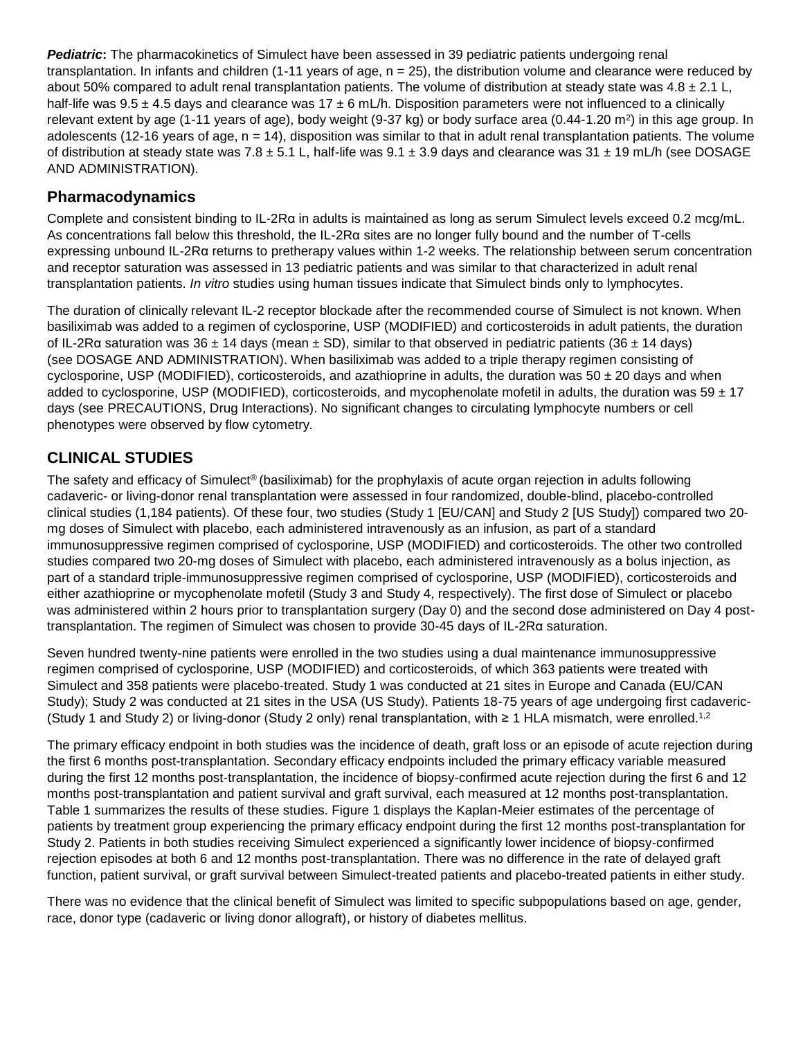*Pediatric***:** The pharmacokinetics of Simulect have been assessed in 39 pediatric patients undergoing renal transplantation. In infants and children (1-11 years of age,  $n = 25$ ), the distribution volume and clearance were reduced by about 50% compared to adult renal transplantation patients. The volume of distribution at steady state was  $4.8 \pm 2.1$  L, half-life was  $9.5 \pm 4.5$  days and clearance was  $17 \pm 6$  mL/h. Disposition parameters were not influenced to a clinically relevant extent by age (1-11 years of age), body weight (9-37 kg) or body surface area (0.44-1.20 m<sup>2</sup>) in this age group. In adolescents (12-16 years of age,  $n = 14$ ), disposition was similar to that in adult renal transplantation patients. The volume of distribution at steady state was 7.8  $\pm$  5.1 L, half-life was 9.1  $\pm$  3.9 days and clearance was 31  $\pm$  19 mL/h (see DOSAGE AND ADMINISTRATION).

#### **Pharmacodynamics**

Complete and consistent binding to IL-2Rα in adults is maintained as long as serum Simulect levels exceed 0.2 mcg/mL. As concentrations fall below this threshold, the IL-2Rα sites are no longer fully bound and the number of T-cells expressing unbound IL-2Rα returns to pretherapy values within 1-2 weeks. The relationship between serum concentration and receptor saturation was assessed in 13 pediatric patients and was similar to that characterized in adult renal transplantation patients. *In vitro* studies using human tissues indicate that Simulect binds only to lymphocytes.

The duration of clinically relevant IL-2 receptor blockade after the recommended course of Simulect is not known. When basiliximab was added to a regimen of cyclosporine, USP (MODIFIED) and corticosteroids in adult patients, the duration of IL-2Rα saturation was 36 ± 14 days (mean ± SD), similar to that observed in pediatric patients (36 ± 14 days) (see DOSAGE AND ADMINISTRATION). When basiliximab was added to a triple therapy regimen consisting of cyclosporine, USP (MODIFIED), corticosteroids, and azathioprine in adults, the duration was 50  $\pm$  20 days and when added to cyclosporine, USP (MODIFIED), corticosteroids, and mycophenolate mofetil in adults, the duration was  $59 \pm 17$ days (see PRECAUTIONS, Drug Interactions). No significant changes to circulating lymphocyte numbers or cell phenotypes were observed by flow cytometry.

## **CLINICAL STUDIES**

The safety and efficacy of Simulect® (basiliximab) for the prophylaxis of acute organ rejection in adults following cadaveric- or living-donor renal transplantation were assessed in four randomized, double-blind, placebo-controlled clinical studies (1,184 patients). Of these four, two studies (Study 1 [EU/CAN] and Study 2 [US Study]) compared two 20 mg doses of Simulect with placebo, each administered intravenously as an infusion, as part of a standard immunosuppressive regimen comprised of cyclosporine, USP (MODIFIED) and corticosteroids. The other two controlled studies compared two 20-mg doses of Simulect with placebo, each administered intravenously as a bolus injection, as part of a standard triple-immunosuppressive regimen comprised of cyclosporine, USP (MODIFIED), corticosteroids and either azathioprine or mycophenolate mofetil (Study 3 and Study 4, respectively). The first dose of Simulect or placebo was administered within 2 hours prior to transplantation surgery (Day 0) and the second dose administered on Day 4 posttransplantation. The regimen of Simulect was chosen to provide 30-45 days of IL-2Rα saturation.

Seven hundred twenty-nine patients were enrolled in the two studies using a dual maintenance immunosuppressive regimen comprised of cyclosporine, USP (MODIFIED) and corticosteroids, of which 363 patients were treated with Simulect and 358 patients were placebo-treated. Study 1 was conducted at 21 sites in Europe and Canada (EU/CAN Study); Study 2 was conducted at 21 sites in the USA (US Study). Patients 18-75 years of age undergoing first cadaveric- (Study 1 and Study 2) or living-donor (Study 2 only) renal transplantation, with ≥ 1 HLA mismatch, were enrolled.<sup>1,2</sup>

The primary efficacy endpoint in both studies was the incidence of death, graft loss or an episode of acute rejection during the first 6 months post-transplantation. Secondary efficacy endpoints included the primary efficacy variable measured during the first 12 months post-transplantation, the incidence of biopsy-confirmed acute rejection during the first 6 and 12 months post-transplantation and patient survival and graft survival, each measured at 12 months post-transplantation. Table 1 summarizes the results of these studies. Figure 1 displays the Kaplan-Meier estimates of the percentage of patients by treatment group experiencing the primary efficacy endpoint during the first 12 months post-transplantation for Study 2. Patients in both studies receiving Simulect experienced a significantly lower incidence of biopsy-confirmed rejection episodes at both 6 and 12 months post-transplantation. There was no difference in the rate of delayed graft function, patient survival, or graft survival between Simulect-treated patients and placebo-treated patients in either study.

There was no evidence that the clinical benefit of Simulect was limited to specific subpopulations based on age, gender, race, donor type (cadaveric or living donor allograft), or history of diabetes mellitus.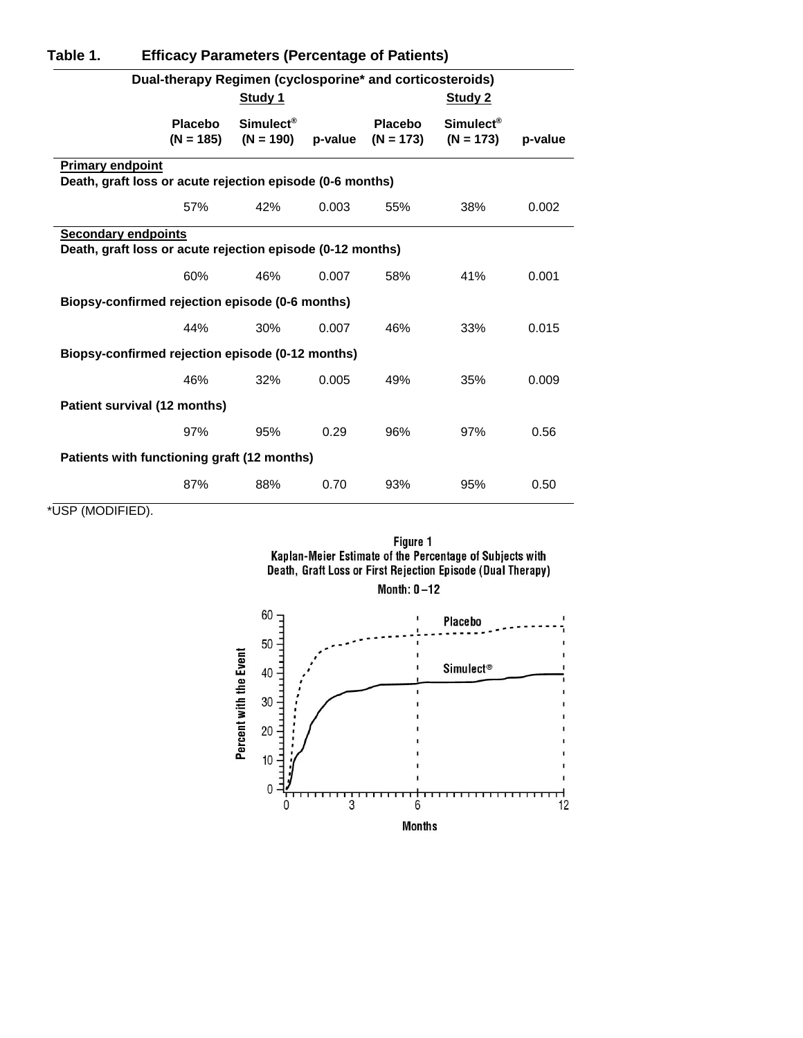| Table 1.                                                  | <b>Efficacy Parameters (Percentage of Patients)</b>                                      |                                      |         |                        |                                      |         |  |  |
|-----------------------------------------------------------|------------------------------------------------------------------------------------------|--------------------------------------|---------|------------------------|--------------------------------------|---------|--|--|
| Dual-therapy Regimen (cyclosporine* and corticosteroids)  |                                                                                          |                                      |         |                        |                                      |         |  |  |
|                                                           |                                                                                          | Study 1                              |         |                        | Study 2                              |         |  |  |
|                                                           | Placebo<br>$(N = 185)$                                                                   | Simulect <sup>®</sup><br>$(N = 190)$ | p-value | Placebo<br>$(N = 173)$ | Simulect <sup>®</sup><br>$(N = 173)$ | p-value |  |  |
| <b>Primary endpoint</b>                                   |                                                                                          |                                      |         |                        |                                      |         |  |  |
| Death, graft loss or acute rejection episode (0-6 months) |                                                                                          |                                      |         |                        |                                      |         |  |  |
|                                                           | 57%                                                                                      | 42%                                  | 0.003   | 55%                    | 38%                                  | 0.002   |  |  |
|                                                           | <b>Secondary endpoints</b><br>Death, graft loss or acute rejection episode (0-12 months) |                                      |         |                        |                                      |         |  |  |
|                                                           | 60%                                                                                      | 46%                                  | 0.007   | 58%                    | 41%                                  | 0.001   |  |  |
| Biopsy-confirmed rejection episode (0-6 months)           |                                                                                          |                                      |         |                        |                                      |         |  |  |
|                                                           | 44%                                                                                      | 30%                                  | 0.007   | 46%                    | 33%                                  | 0.015   |  |  |
| Biopsy-confirmed rejection episode (0-12 months)          |                                                                                          |                                      |         |                        |                                      |         |  |  |
|                                                           | 46%                                                                                      | 32%                                  | 0.005   | 49%                    | 35%                                  | 0.009   |  |  |
|                                                           | Patient survival (12 months)                                                             |                                      |         |                        |                                      |         |  |  |
|                                                           | 97%                                                                                      | 95%                                  | 0.29    | 96%                    | 97%                                  | 0.56    |  |  |
| Patients with functioning graft (12 months)               |                                                                                          |                                      |         |                        |                                      |         |  |  |
|                                                           | 87%                                                                                      | 88%                                  | 0.70    | 93%                    | 95%                                  | 0.50    |  |  |

\*USP (MODIFIED).





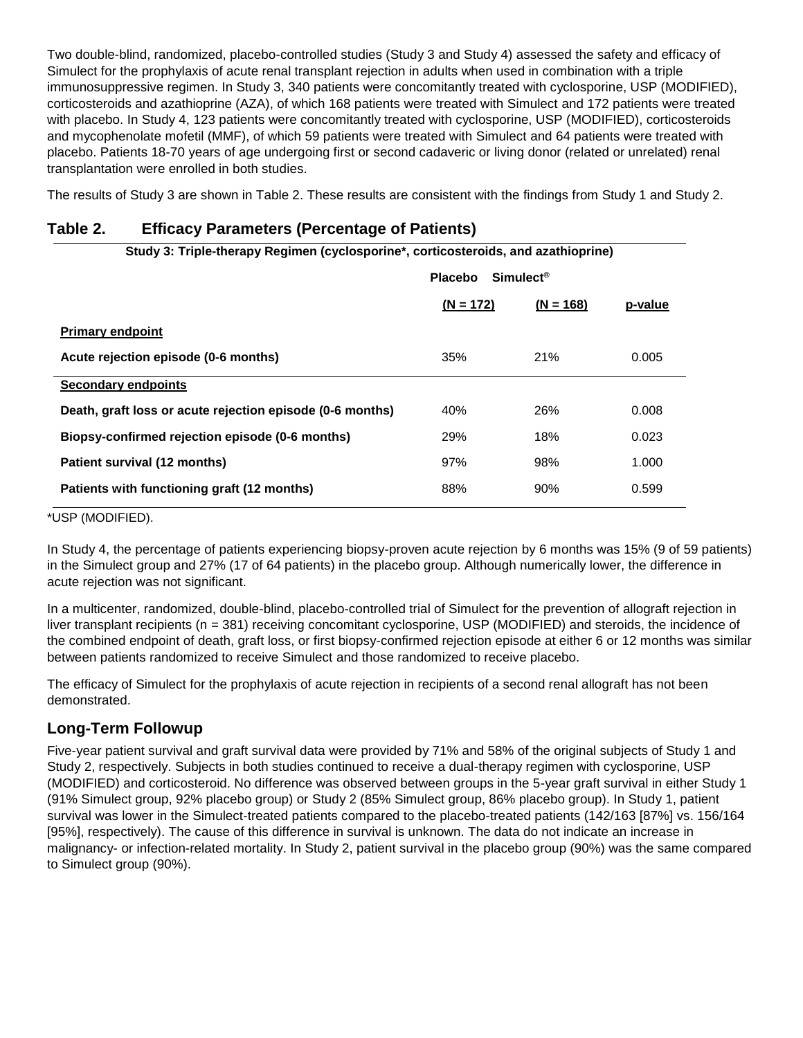Two double-blind, randomized, placebo-controlled studies (Study 3 and Study 4) assessed the safety and efficacy of Simulect for the prophylaxis of acute renal transplant rejection in adults when used in combination with a triple immunosuppressive regimen. In Study 3, 340 patients were concomitantly treated with cyclosporine, USP (MODIFIED), corticosteroids and azathioprine (AZA), of which 168 patients were treated with Simulect and 172 patients were treated with placebo. In Study 4, 123 patients were concomitantly treated with cyclosporine, USP (MODIFIED), corticosteroids and mycophenolate mofetil (MMF), of which 59 patients were treated with Simulect and 64 patients were treated with placebo. Patients 18-70 years of age undergoing first or second cadaveric or living donor (related or unrelated) renal transplantation were enrolled in both studies.

The results of Study 3 are shown in Table 2. These results are consistent with the findings from Study 1 and Study 2.

#### **Table 2. Efficacy Parameters (Percentage of Patients)**

| Study 3: Triple-therapy Regimen (cyclosporine*, corticosteroids, and azathioprine) |                                          |             |         |  |  |  |
|------------------------------------------------------------------------------------|------------------------------------------|-------------|---------|--|--|--|
|                                                                                    | $Simulect^{\circledR}$<br><b>Placebo</b> |             |         |  |  |  |
|                                                                                    | $(N = 172)$                              | $(N = 168)$ | p-value |  |  |  |
| <b>Primary endpoint</b>                                                            |                                          |             |         |  |  |  |
| Acute rejection episode (0-6 months)                                               | 35%                                      | 21%         | 0.005   |  |  |  |
| <b>Secondary endpoints</b>                                                         |                                          |             |         |  |  |  |
| Death, graft loss or acute rejection episode (0-6 months)                          | 40%                                      | 26%         | 0.008   |  |  |  |
| Biopsy-confirmed rejection episode (0-6 months)                                    | 29%                                      | 18%         | 0.023   |  |  |  |
| Patient survival (12 months)                                                       | 97%                                      | 98%         | 1.000   |  |  |  |
| Patients with functioning graft (12 months)                                        | 88%                                      | 90%         | 0.599   |  |  |  |

\*USP (MODIFIED).

In Study 4, the percentage of patients experiencing biopsy-proven acute rejection by 6 months was 15% (9 of 59 patients) in the Simulect group and 27% (17 of 64 patients) in the placebo group. Although numerically lower, the difference in acute rejection was not significant.

In a multicenter, randomized, double-blind, placebo-controlled trial of Simulect for the prevention of allograft rejection in liver transplant recipients (n = 381) receiving concomitant cyclosporine, USP (MODIFIED) and steroids, the incidence of the combined endpoint of death, graft loss, or first biopsy-confirmed rejection episode at either 6 or 12 months was similar between patients randomized to receive Simulect and those randomized to receive placebo.

The efficacy of Simulect for the prophylaxis of acute rejection in recipients of a second renal allograft has not been demonstrated.

## **Long-Term Followup**

Five-year patient survival and graft survival data were provided by 71% and 58% of the original subjects of Study 1 and Study 2, respectively. Subjects in both studies continued to receive a dual-therapy regimen with cyclosporine, USP (MODIFIED) and corticosteroid. No difference was observed between groups in the 5-year graft survival in either Study 1 (91% Simulect group, 92% placebo group) or Study 2 (85% Simulect group, 86% placebo group). In Study 1, patient survival was lower in the Simulect-treated patients compared to the placebo-treated patients (142/163 [87%] vs. 156/164 [95%], respectively). The cause of this difference in survival is unknown. The data do not indicate an increase in malignancy- or infection-related mortality. In Study 2, patient survival in the placebo group (90%) was the same compared to Simulect group (90%).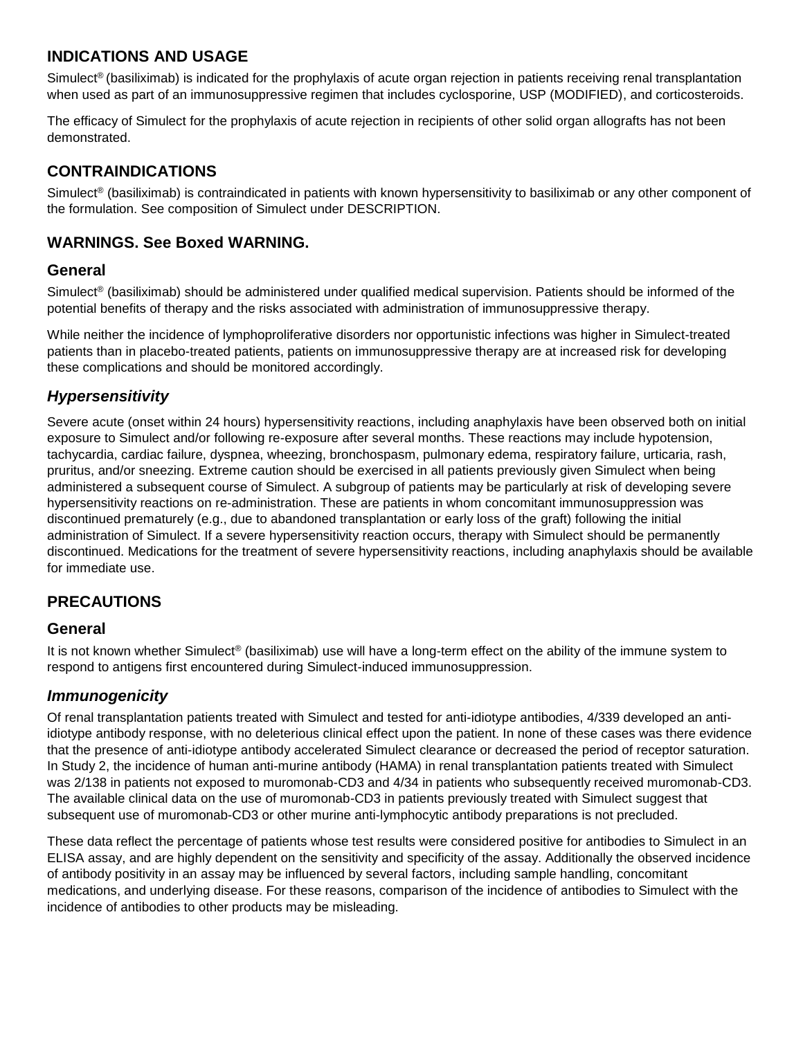## **INDICATIONS AND USAGE**

Simulect<sup>®</sup> (basiliximab) is indicated for the prophylaxis of acute organ rejection in patients receiving renal transplantation when used as part of an immunosuppressive regimen that includes cyclosporine, USP (MODIFIED), and corticosteroids.

The efficacy of Simulect for the prophylaxis of acute rejection in recipients of other solid organ allografts has not been demonstrated.

## **CONTRAINDICATIONS**

Simulect<sup>®</sup> (basiliximab) is contraindicated in patients with known hypersensitivity to basiliximab or any other component of the formulation. See composition of Simulect under DESCRIPTION.

## **WARNINGS. See Boxed WARNING.**

## **General**

Simulect® (basiliximab) should be administered under qualified medical supervision. Patients should be informed of the potential benefits of therapy and the risks associated with administration of immunosuppressive therapy.

While neither the incidence of lymphoproliferative disorders nor opportunistic infections was higher in Simulect-treated patients than in placebo-treated patients, patients on immunosuppressive therapy are at increased risk for developing these complications and should be monitored accordingly.

## *Hypersensitivity*

Severe acute (onset within 24 hours) hypersensitivity reactions, including anaphylaxis have been observed both on initial exposure to Simulect and/or following re-exposure after several months. These reactions may include hypotension, tachycardia, cardiac failure, dyspnea, wheezing, bronchospasm, pulmonary edema, respiratory failure, urticaria, rash, pruritus, and/or sneezing. Extreme caution should be exercised in all patients previously given Simulect when being administered a subsequent course of Simulect. A subgroup of patients may be particularly at risk of developing severe hypersensitivity reactions on re-administration. These are patients in whom concomitant immunosuppression was discontinued prematurely (e.g., due to abandoned transplantation or early loss of the graft) following the initial administration of Simulect. If a severe hypersensitivity reaction occurs, therapy with Simulect should be permanently discontinued. Medications for the treatment of severe hypersensitivity reactions, including anaphylaxis should be available for immediate use.

## **PRECAUTIONS**

#### **General**

It is not known whether Simulect<sup>®</sup> (basiliximab) use will have a long-term effect on the ability of the immune system to respond to antigens first encountered during Simulect-induced immunosuppression.

## *Immunogenicity*

Of renal transplantation patients treated with Simulect and tested for anti-idiotype antibodies, 4/339 developed an antiidiotype antibody response, with no deleterious clinical effect upon the patient. In none of these cases was there evidence that the presence of anti-idiotype antibody accelerated Simulect clearance or decreased the period of receptor saturation. In Study 2, the incidence of human anti-murine antibody (HAMA) in renal transplantation patients treated with Simulect was 2/138 in patients not exposed to muromonab-CD3 and 4/34 in patients who subsequently received muromonab-CD3. The available clinical data on the use of muromonab-CD3 in patients previously treated with Simulect suggest that subsequent use of muromonab-CD3 or other murine anti-lymphocytic antibody preparations is not precluded.

These data reflect the percentage of patients whose test results were considered positive for antibodies to Simulect in an ELISA assay, and are highly dependent on the sensitivity and specificity of the assay. Additionally the observed incidence of antibody positivity in an assay may be influenced by several factors, including sample handling, concomitant medications, and underlying disease. For these reasons, comparison of the incidence of antibodies to Simulect with the incidence of antibodies to other products may be misleading.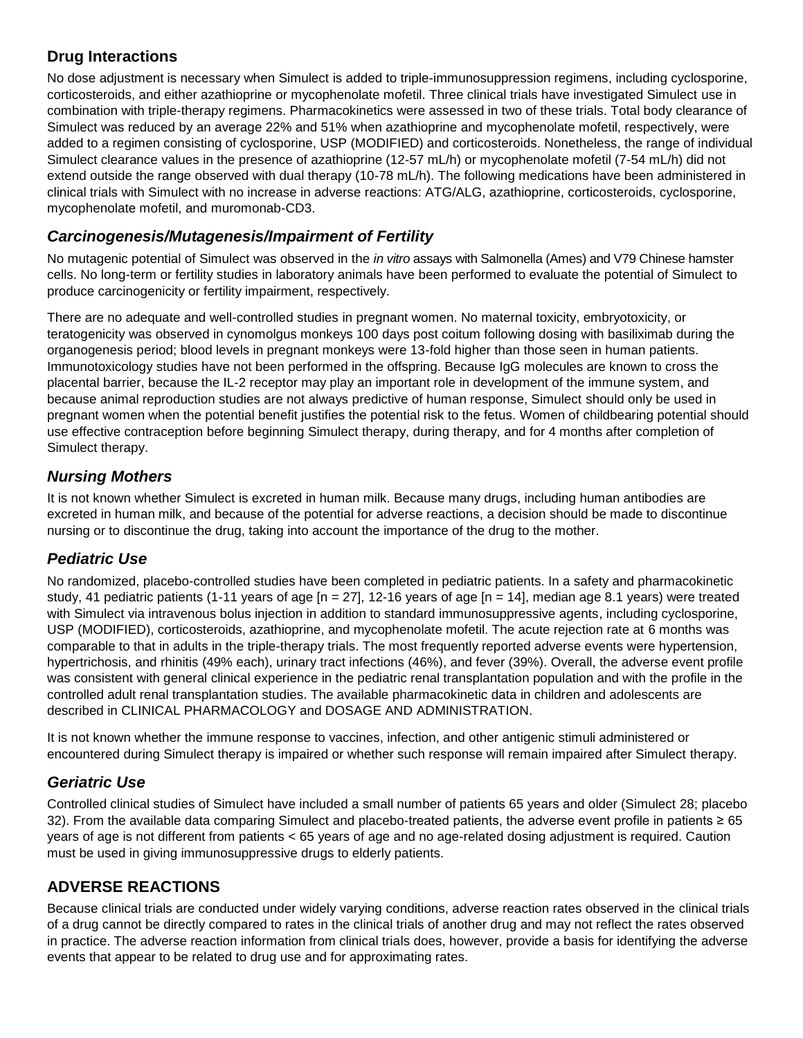## **Drug Interactions**

No dose adjustment is necessary when Simulect is added to triple-immunosuppression regimens, including cyclosporine, corticosteroids, and either azathioprine or mycophenolate mofetil. Three clinical trials have investigated Simulect use in combination with triple-therapy regimens. Pharmacokinetics were assessed in two of these trials. Total body clearance of Simulect was reduced by an average 22% and 51% when azathioprine and mycophenolate mofetil, respectively, were added to a regimen consisting of cyclosporine, USP (MODIFIED) and corticosteroids. Nonetheless, the range of individual Simulect clearance values in the presence of azathioprine (12-57 mL/h) or mycophenolate mofetil (7-54 mL/h) did not extend outside the range observed with dual therapy (10-78 mL/h). The following medications have been administered in clinical trials with Simulect with no increase in adverse reactions: ATG/ALG, azathioprine, corticosteroids, cyclosporine, mycophenolate mofetil, and muromonab-CD3.

## *Carcinogenesis/Mutagenesis/Impairment of Fertility*

No mutagenic potential of Simulect was observed in the *in vitro* assays with Salmonella (Ames) and V79 Chinese hamster cells. No long-term or fertility studies in laboratory animals have been performed to evaluate the potential of Simulect to produce carcinogenicity or fertility impairment, respectively.

There are no adequate and well-controlled studies in pregnant women. No maternal toxicity, embryotoxicity, or teratogenicity was observed in cynomolgus monkeys 100 days post coitum following dosing with basiliximab during the organogenesis period; blood levels in pregnant monkeys were 13-fold higher than those seen in human patients. Immunotoxicology studies have not been performed in the offspring. Because IgG molecules are known to cross the placental barrier, because the IL-2 receptor may play an important role in development of the immune system, and because animal reproduction studies are not always predictive of human response, Simulect should only be used in pregnant women when the potential benefit justifies the potential risk to the fetus. Women of childbearing potential should use effective contraception before beginning Simulect therapy, during therapy, and for 4 months after completion of Simulect therapy.

## *Nursing Mothers*

It is not known whether Simulect is excreted in human milk. Because many drugs, including human antibodies are excreted in human milk, and because of the potential for adverse reactions, a decision should be made to discontinue nursing or to discontinue the drug, taking into account the importance of the drug to the mother.

## *Pediatric Use*

No randomized, placebo-controlled studies have been completed in pediatric patients. In a safety and pharmacokinetic study, 41 pediatric patients (1-11 years of age  $[n = 27]$ , 12-16 years of age  $[n = 14]$ , median age 8.1 years) were treated with Simulect via intravenous bolus injection in addition to standard immunosuppressive agents, including cyclosporine, USP (MODIFIED), corticosteroids, azathioprine, and mycophenolate mofetil. The acute rejection rate at 6 months was comparable to that in adults in the triple-therapy trials. The most frequently reported adverse events were hypertension, hypertrichosis, and rhinitis (49% each), urinary tract infections (46%), and fever (39%). Overall, the adverse event profile was consistent with general clinical experience in the pediatric renal transplantation population and with the profile in the controlled adult renal transplantation studies. The available pharmacokinetic data in children and adolescents are described in CLINICAL PHARMACOLOGY and DOSAGE AND ADMINISTRATION.

It is not known whether the immune response to vaccines, infection, and other antigenic stimuli administered or encountered during Simulect therapy is impaired or whether such response will remain impaired after Simulect therapy.

## *Geriatric Use*

Controlled clinical studies of Simulect have included a small number of patients 65 years and older (Simulect 28; placebo 32). From the available data comparing Simulect and placebo-treated patients, the adverse event profile in patients ≥ 65 years of age is not different from patients < 65 years of age and no age-related dosing adjustment is required. Caution must be used in giving immunosuppressive drugs to elderly patients.

# **ADVERSE REACTIONS**

Because clinical trials are conducted under widely varying conditions, adverse reaction rates observed in the clinical trials of a drug cannot be directly compared to rates in the clinical trials of another drug and may not reflect the rates observed in practice. The adverse reaction information from clinical trials does, however, provide a basis for identifying the adverse events that appear to be related to drug use and for approximating rates.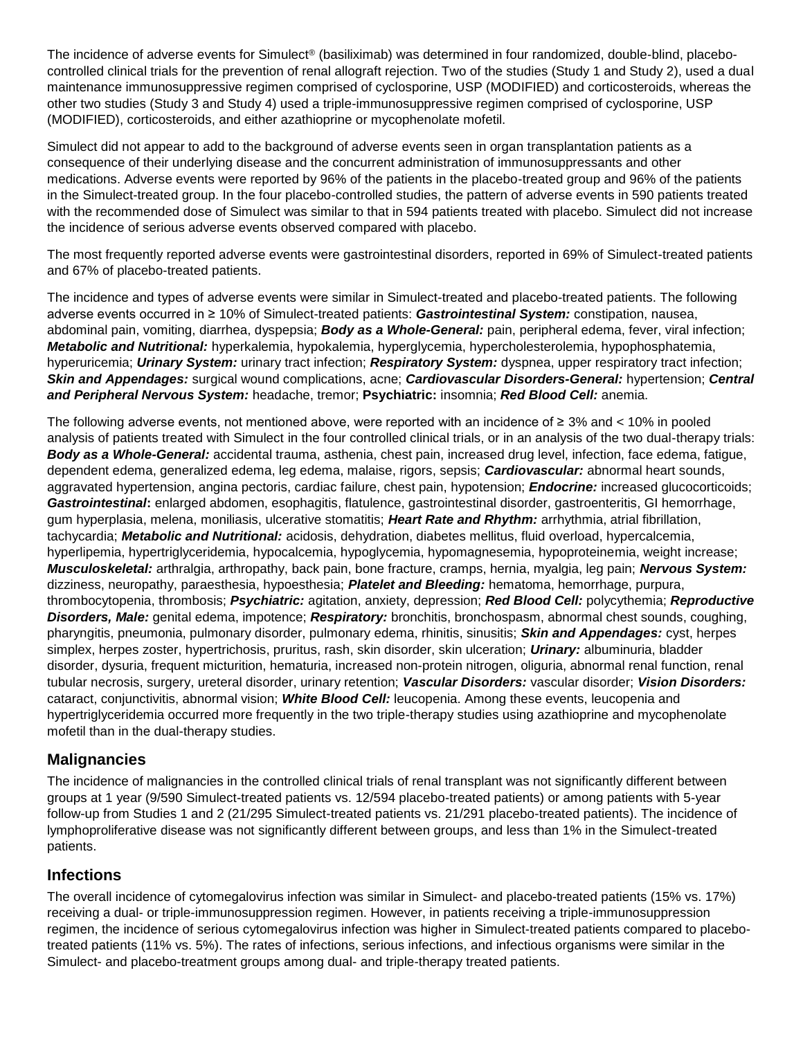The incidence of adverse events for Simulect® (basiliximab) was determined in four randomized, double-blind, placebocontrolled clinical trials for the prevention of renal allograft rejection. Two of the studies (Study 1 and Study 2), used a dual maintenance immunosuppressive regimen comprised of cyclosporine, USP (MODIFIED) and corticosteroids, whereas the other two studies (Study 3 and Study 4) used a triple-immunosuppressive regimen comprised of cyclosporine, USP (MODIFIED), corticosteroids, and either azathioprine or mycophenolate mofetil.

Simulect did not appear to add to the background of adverse events seen in organ transplantation patients as a consequence of their underlying disease and the concurrent administration of immunosuppressants and other medications. Adverse events were reported by 96% of the patients in the placebo-treated group and 96% of the patients in the Simulect-treated group. In the four placebo-controlled studies, the pattern of adverse events in 590 patients treated with the recommended dose of Simulect was similar to that in 594 patients treated with placebo. Simulect did not increase the incidence of serious adverse events observed compared with placebo.

The most frequently reported adverse events were gastrointestinal disorders, reported in 69% of Simulect-treated patients and 67% of placebo-treated patients.

The incidence and types of adverse events were similar in Simulect-treated and placebo-treated patients. The following adverse events occurred in ≥ 10% of Simulect-treated patients: *Gastrointestinal System:* constipation, nausea, abdominal pain, vomiting, diarrhea, dyspepsia; *Body as a Whole-General:* pain, peripheral edema, fever, viral infection; *Metabolic and Nutritional:* hyperkalemia, hypokalemia, hyperglycemia, hypercholesterolemia, hypophosphatemia, hyperuricemia; *Urinary System:* urinary tract infection; *Respiratory System:* dyspnea, upper respiratory tract infection; *Skin and Appendages:* surgical wound complications, acne; *Cardiovascular Disorders-General:* hypertension; *Central and Peripheral Nervous System:* headache, tremor; **Psychiatric:** insomnia; *Red Blood Cell:* anemia.

The following adverse events, not mentioned above, were reported with an incidence of ≥ 3% and < 10% in pooled analysis of patients treated with Simulect in the four controlled clinical trials, or in an analysis of the two dual-therapy trials: *Body as a Whole-General:* accidental trauma, asthenia, chest pain, increased drug level, infection, face edema, fatigue, dependent edema, generalized edema, leg edema, malaise, rigors, sepsis; *Cardiovascular:* abnormal heart sounds, aggravated hypertension, angina pectoris, cardiac failure, chest pain, hypotension; *Endocrine:* increased glucocorticoids; *Gastrointestinal***:** enlarged abdomen, esophagitis, flatulence, gastrointestinal disorder, gastroenteritis, GI hemorrhage, gum hyperplasia, melena, moniliasis, ulcerative stomatitis; *Heart Rate and Rhythm:* arrhythmia, atrial fibrillation, tachycardia; *Metabolic and Nutritional:* acidosis, dehydration, diabetes mellitus, fluid overload, hypercalcemia, hyperlipemia, hypertriglyceridemia, hypocalcemia, hypoglycemia, hypomagnesemia, hypoproteinemia, weight increase; *Musculoskeletal:* arthralgia, arthropathy, back pain, bone fracture, cramps, hernia, myalgia, leg pain; *Nervous System:* dizziness, neuropathy, paraesthesia, hypoesthesia; *Platelet and Bleeding:* hematoma, hemorrhage, purpura, thrombocytopenia, thrombosis; *Psychiatric:* agitation, anxiety, depression; *Red Blood Cell:* polycythemia; *Reproductive Disorders, Male:* genital edema, impotence; *Respiratory:* bronchitis, bronchospasm, abnormal chest sounds, coughing, pharyngitis, pneumonia, pulmonary disorder, pulmonary edema, rhinitis, sinusitis; *Skin and Appendages:* cyst, herpes simplex, herpes zoster, hypertrichosis, pruritus, rash, skin disorder, skin ulceration; *Urinary:* albuminuria, bladder disorder, dysuria, frequent micturition, hematuria, increased non-protein nitrogen, oliguria, abnormal renal function, renal tubular necrosis, surgery, ureteral disorder, urinary retention; *Vascular Disorders:* vascular disorder; *Vision Disorders:* cataract, conjunctivitis, abnormal vision; *White Blood Cell:* leucopenia. Among these events, leucopenia and hypertriglyceridemia occurred more frequently in the two triple-therapy studies using azathioprine and mycophenolate mofetil than in the dual-therapy studies.

#### **Malignancies**

The incidence of malignancies in the controlled clinical trials of renal transplant was not significantly different between groups at 1 year (9/590 Simulect-treated patients vs. 12/594 placebo-treated patients) or among patients with 5-year follow-up from Studies 1 and 2 (21/295 Simulect-treated patients vs. 21/291 placebo-treated patients). The incidence of lymphoproliferative disease was not significantly different between groups, and less than 1% in the Simulect-treated patients.

#### **Infections**

The overall incidence of cytomegalovirus infection was similar in Simulect- and placebo-treated patients (15% vs. 17%) receiving a dual- or triple-immunosuppression regimen. However, in patients receiving a triple-immunosuppression regimen, the incidence of serious cytomegalovirus infection was higher in Simulect-treated patients compared to placebotreated patients (11% vs. 5%). The rates of infections, serious infections, and infectious organisms were similar in the Simulect- and placebo-treatment groups among dual- and triple-therapy treated patients.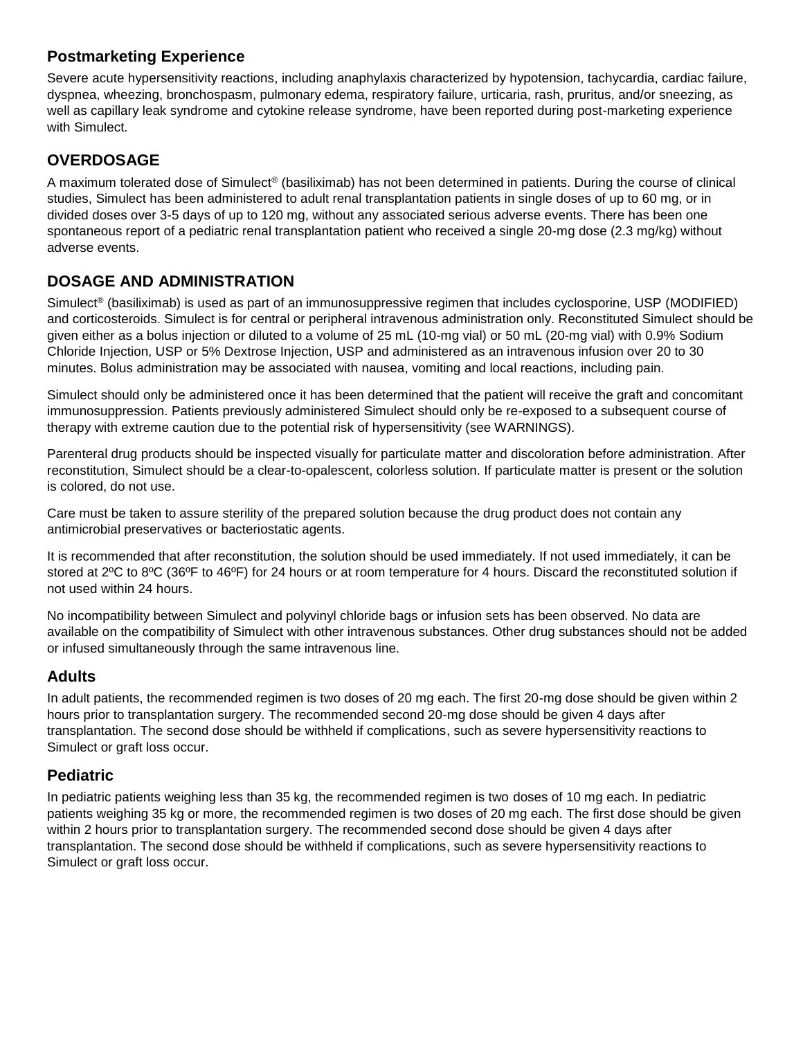## **Postmarketing Experience**

Severe acute hypersensitivity reactions, including anaphylaxis characterized by hypotension, tachycardia, cardiac failure, dyspnea, wheezing, bronchospasm, pulmonary edema, respiratory failure, urticaria, rash, pruritus, and/or sneezing, as well as capillary leak syndrome and cytokine release syndrome, have been reported during post-marketing experience with Simulect.

# **OVERDOSAGE**

A maximum tolerated dose of Simulect® (basiliximab) has not been determined in patients. During the course of clinical studies, Simulect has been administered to adult renal transplantation patients in single doses of up to 60 mg, or in divided doses over 3-5 days of up to 120 mg, without any associated serious adverse events. There has been one spontaneous report of a pediatric renal transplantation patient who received a single 20-mg dose (2.3 mg/kg) without adverse events.

# **DOSAGE AND ADMINISTRATION**

Simulect® (basiliximab) is used as part of an immunosuppressive regimen that includes cyclosporine, USP (MODIFIED) and corticosteroids. Simulect is for central or peripheral intravenous administration only. Reconstituted Simulect should be given either as a bolus injection or diluted to a volume of 25 mL (10-mg vial) or 50 mL (20-mg vial) with 0.9% Sodium Chloride Injection, USP or 5% Dextrose Injection, USP and administered as an intravenous infusion over 20 to 30 minutes. Bolus administration may be associated with nausea, vomiting and local reactions, including pain.

Simulect should only be administered once it has been determined that the patient will receive the graft and concomitant immunosuppression. Patients previously administered Simulect should only be re-exposed to a subsequent course of therapy with extreme caution due to the potential risk of hypersensitivity (see WARNINGS).

Parenteral drug products should be inspected visually for particulate matter and discoloration before administration. After reconstitution, Simulect should be a clear-to-opalescent, colorless solution. If particulate matter is present or the solution is colored, do not use.

Care must be taken to assure sterility of the prepared solution because the drug product does not contain any antimicrobial preservatives or bacteriostatic agents.

It is recommended that after reconstitution, the solution should be used immediately. If not used immediately, it can be stored at 2ºC to 8ºC (36ºF to 46ºF) for 24 hours or at room temperature for 4 hours. Discard the reconstituted solution if not used within 24 hours.

No incompatibility between Simulect and polyvinyl chloride bags or infusion sets has been observed. No data are available on the compatibility of Simulect with other intravenous substances. Other drug substances should not be added or infused simultaneously through the same intravenous line.

## **Adults**

In adult patients, the recommended regimen is two doses of 20 mg each. The first 20-mg dose should be given within 2 hours prior to transplantation surgery. The recommended second 20-mg dose should be given 4 days after transplantation. The second dose should be withheld if complications, such as severe hypersensitivity reactions to Simulect or graft loss occur.

## **Pediatric**

In pediatric patients weighing less than 35 kg, the recommended regimen is two doses of 10 mg each. In pediatric patients weighing 35 kg or more, the recommended regimen is two doses of 20 mg each. The first dose should be given within 2 hours prior to transplantation surgery. The recommended second dose should be given 4 days after transplantation. The second dose should be withheld if complications, such as severe hypersensitivity reactions to Simulect or graft loss occur.